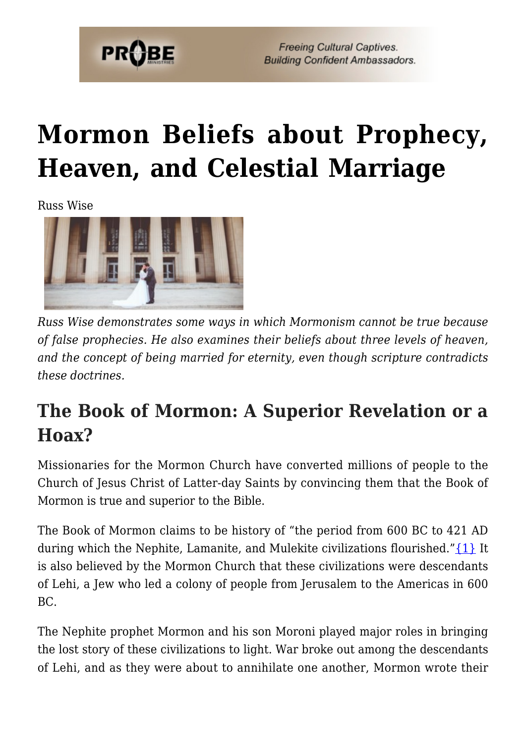

**Freeing Cultural Captives. Building Confident Ambassadors.** 

# **[Mormon Beliefs about Prophecy,](https://probe.org/mormon-beliefs-about-prophecy-heaven-and-celestial-marriage/) [Heaven, and Celestial Marriage](https://probe.org/mormon-beliefs-about-prophecy-heaven-and-celestial-marriage/)**

Russ Wise



*Russ Wise demonstrates some ways in which Mormonism cannot be true because of false prophecies. He also examines their beliefs about three levels of heaven, and the concept of being married for eternity, even though scripture contradicts these doctrines.*

### **The Book of Mormon: A Superior Revelation or a Hoax?**

Missionaries for the Mormon Church have converted millions of people to the Church of Jesus Christ of Latter-day Saints by convincing them that the Book of Mormon is true and superior to the Bible.

The Book of Mormon claims to be history of "the period from 600 BC to 421 AD during which the Nephite, Lamanite, and Mulekite civilizations flourished." $\{1\}$  It is also believed by the Mormon Church that these civilizations were descendants of Lehi, a Jew who led a colony of people from Jerusalem to the Americas in 600 BC.

The Nephite prophet Mormon and his son Moroni played major roles in bringing the lost story of these civilizations to light. War broke out among the descendants of Lehi, and as they were about to annihilate one another, Mormon wrote their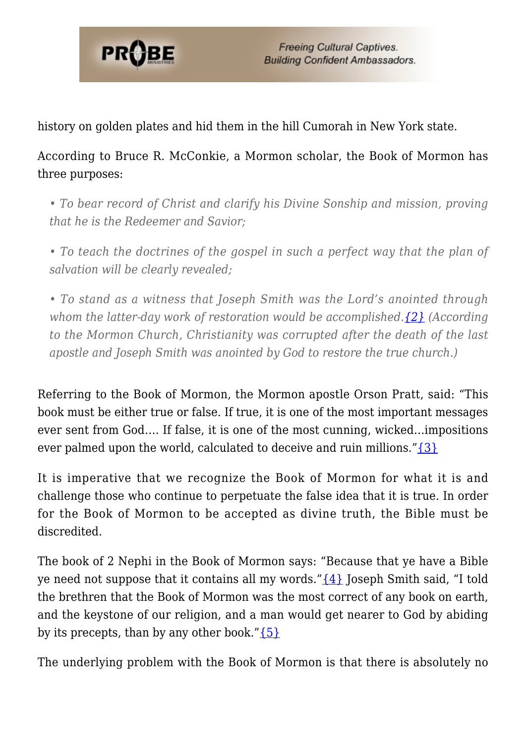

history on golden plates and hid them in the hill Cumorah in New York state.

According to Bruce R. McConkie, a Mormon scholar, the Book of Mormon has three purposes:

*• To bear record of Christ and clarify his Divine Sonship and mission, proving that he is the Redeemer and Savior;*

*• To teach the doctrines of the gospel in such a perfect way that the plan of salvation will be clearly revealed;*

*• To stand as a witness that Joseph Smith was the Lord's anointed through whom the latter-day work of restoration would be accomplished.[{2}](#page-10-1) (According to the Mormon Church, Christianity was corrupted after the death of the last apostle and Joseph Smith was anointed by God to restore the true church.)*

Referring to the Book of Mormon, the Mormon apostle Orson Pratt, said: "This book must be either true or false. If true, it is one of the most important messages ever sent from God…. If false, it is one of the most cunning, wicked…impositions ever palmed upon the world, calculated to deceive and ruin millions." $\{3\}$ 

It is imperative that we recognize the Book of Mormon for what it is and challenge those who continue to perpetuate the false idea that it is true. In order for the Book of Mormon to be accepted as divine truth, the Bible must be discredited.

The book of 2 Nephi in the Book of Mormon says: "Because that ye have a Bible ye need not suppose that it contains all my words." $\{4\}$  Joseph Smith said, "I told the brethren that the Book of Mormon was the most correct of any book on earth, and the keystone of our religion, and a man would get nearer to God by abiding by its precepts, than by any other book." $\{5\}$ 

The underlying problem with the Book of Mormon is that there is absolutely no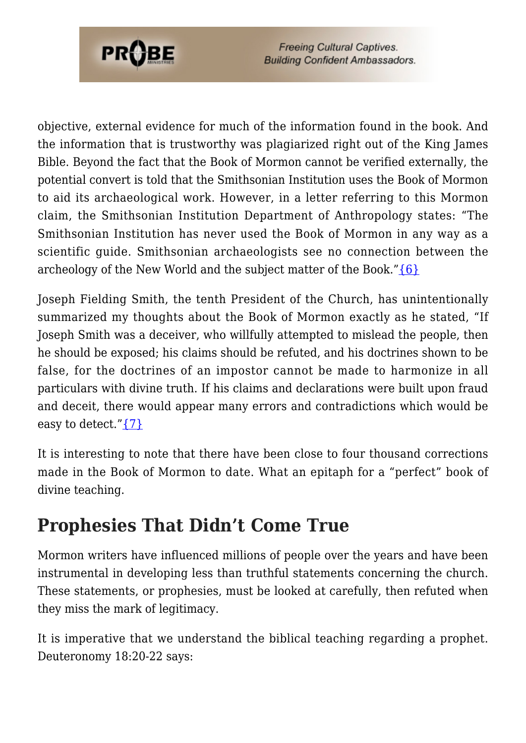

objective, external evidence for much of the information found in the book. And the information that is trustworthy was plagiarized right out of the King James Bible. Beyond the fact that the Book of Mormon cannot be verified externally, the potential convert is told that the Smithsonian Institution uses the Book of Mormon to aid its archaeological work. However, in a letter referring to this Mormon claim, the Smithsonian Institution Department of Anthropology states: "The Smithsonian Institution has never used the Book of Mormon in any way as a scientific guide. Smithsonian archaeologists see no connection between the archeology of the New World and the subject matter of the Book." $\{6\}$ 

Joseph Fielding Smith, the tenth President of the Church, has unintentionally summarized my thoughts about the Book of Mormon exactly as he stated, "If Joseph Smith was a deceiver, who willfully attempted to mislead the people, then he should be exposed; his claims should be refuted, and his doctrines shown to be false, for the doctrines of an impostor cannot be made to harmonize in all particulars with divine truth. If his claims and declarations were built upon fraud and deceit, there would appear many errors and contradictions which would be easy to detect." $\{7\}$ 

It is interesting to note that there have been close to four thousand corrections made in the Book of Mormon to date. What an epitaph for a "perfect" book of divine teaching.

### **Prophesies That Didn't Come True**

Mormon writers have influenced millions of people over the years and have been instrumental in developing less than truthful statements concerning the church. These statements, or prophesies, must be looked at carefully, then refuted when they miss the mark of legitimacy.

It is imperative that we understand the biblical teaching regarding a prophet. Deuteronomy 18:20-22 says: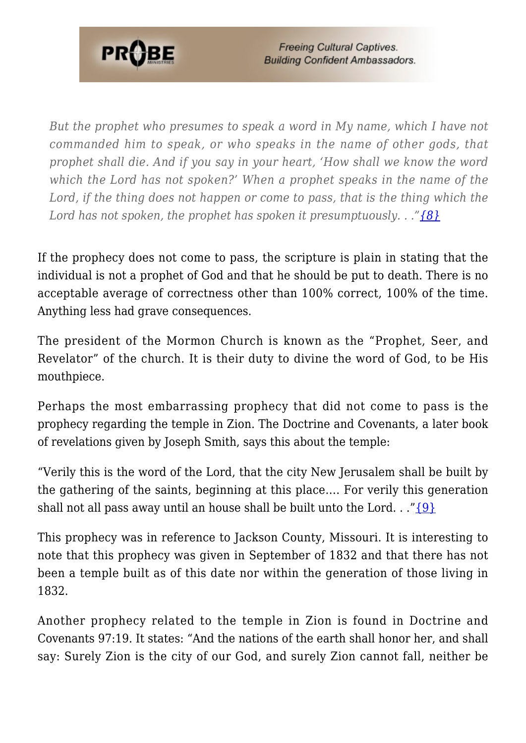

*But the prophet who presumes to speak a word in My name, which I have not commanded him to speak, or who speaks in the name of other gods, that prophet shall die. And if you say in your heart, 'How shall we know the word which the Lord has not spoken?' When a prophet speaks in the name of the Lord, if the thing does not happen or come to pass, that is the thing which the Lord has not spoken, the prophet has spoken it presumptuously. . .["{8}](#page-10-7)*

If the prophecy does not come to pass, the scripture is plain in stating that the individual is not a prophet of God and that he should be put to death. There is no acceptable average of correctness other than 100% correct, 100% of the time. Anything less had grave consequences.

The president of the Mormon Church is known as the "Prophet, Seer, and Revelator" of the church. It is their duty to divine the word of God, to be His mouthpiece.

Perhaps the most embarrassing prophecy that did not come to pass is the prophecy regarding the temple in Zion. The Doctrine and Covenants, a later book of revelations given by Joseph Smith, says this about the temple:

"Verily this is the word of the Lord, that the city New Jerusalem shall be built by the gathering of the saints, beginning at this place…. For verily this generation shall not all pass away until an house shall be built unto the Lord.  $\ldots$  " $\{9\}$ "

This prophecy was in reference to Jackson County, Missouri. It is interesting to note that this prophecy was given in September of 1832 and that there has not been a temple built as of this date nor within the generation of those living in 1832.

Another prophecy related to the temple in Zion is found in Doctrine and Covenants 97:19. It states: "And the nations of the earth shall honor her, and shall say: Surely Zion is the city of our God, and surely Zion cannot fall, neither be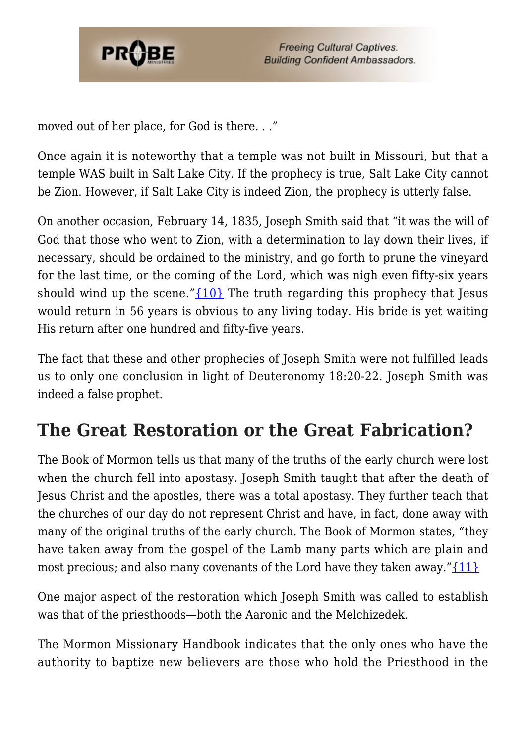

moved out of her place, for God is there. . ."

Once again it is noteworthy that a temple was not built in Missouri, but that a temple WAS built in Salt Lake City. If the prophecy is true, Salt Lake City cannot be Zion. However, if Salt Lake City is indeed Zion, the prophecy is utterly false.

On another occasion, February 14, 1835, Joseph Smith said that "it was the will of God that those who went to Zion, with a determination to lay down their lives, if necessary, should be ordained to the ministry, and go forth to prune the vineyard for the last time, or the coming of the Lord, which was nigh even fifty-six years should wind up the scene." $\{10\}$  The truth regarding this prophecy that Jesus would return in 56 years is obvious to any living today. His bride is yet waiting His return after one hundred and fifty-five years.

The fact that these and other prophecies of Joseph Smith were not fulfilled leads us to only one conclusion in light of Deuteronomy 18:20-22. Joseph Smith was indeed a false prophet.

### **The Great Restoration or the Great Fabrication?**

The Book of Mormon tells us that many of the truths of the early church were lost when the church fell into apostasy. Joseph Smith taught that after the death of Jesus Christ and the apostles, there was a total apostasy. They further teach that the churches of our day do not represent Christ and have, in fact, done away with many of the original truths of the early church. The Book of Mormon states, "they have taken away from the gospel of the Lamb many parts which are plain and most precious; and also many covenants of the Lord have they taken away." $\{11\}$ 

One major aspect of the restoration which Joseph Smith was called to establish was that of the priesthoods—both the Aaronic and the Melchizedek.

The Mormon Missionary Handbook indicates that the only ones who have the authority to baptize new believers are those who hold the Priesthood in the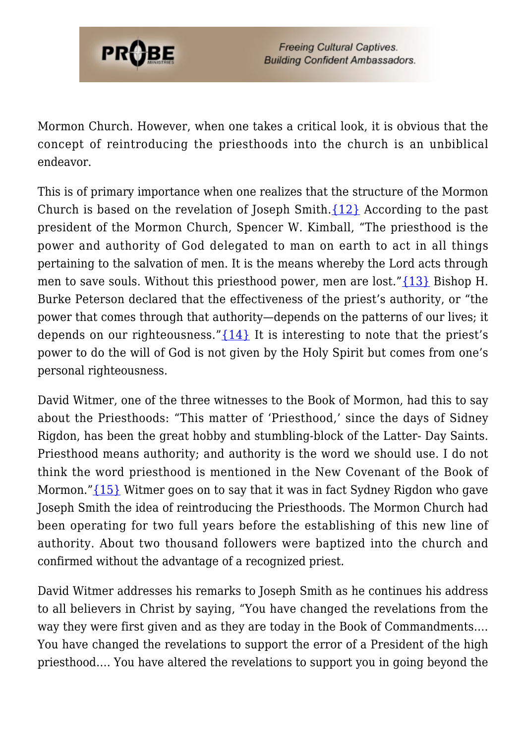

Mormon Church. However, when one takes a critical look, it is obvious that the concept of reintroducing the priesthoods into the church is an unbiblical endeavor.

This is of primary importance when one realizes that the structure of the Mormon Church is based on the revelation of Joseph Smith[.{12}](#page--1-0) According to the past president of the Mormon Church, Spencer W. Kimball, "The priesthood is the power and authority of God delegated to man on earth to act in all things pertaining to the salvation of men. It is the means whereby the Lord acts through men to save souls. Without this priesthood power, men are lost."[{13}](#page-11-3) Bishop H. Burke Peterson declared that the effectiveness of the priest's authority, or "the power that comes through that authority—depends on the patterns of our lives; it depends on our righteousness." $\{14\}$  It is interesting to note that the priest's power to do the will of God is not given by the Holy Spirit but comes from one's personal righteousness.

David Witmer, one of the three witnesses to the Book of Mormon, had this to say about the Priesthoods: "This matter of 'Priesthood,' since the days of Sidney Rigdon, has been the great hobby and stumbling-block of the Latter- Day Saints. Priesthood means authority; and authority is the word we should use. I do not think the word priesthood is mentioned in the New Covenant of the Book of Mormon." {15} Witmer goes on to say that it was in fact Sydney Rigdon who gave Joseph Smith the idea of reintroducing the Priesthoods. The Mormon Church had been operating for two full years before the establishing of this new line of authority. About two thousand followers were baptized into the church and confirmed without the advantage of a recognized priest.

David Witmer addresses his remarks to Joseph Smith as he continues his address to all believers in Christ by saying, "You have changed the revelations from the way they were first given and as they are today in the Book of Commandments…. You have changed the revelations to support the error of a President of the high priesthood…. You have altered the revelations to support you in going beyond the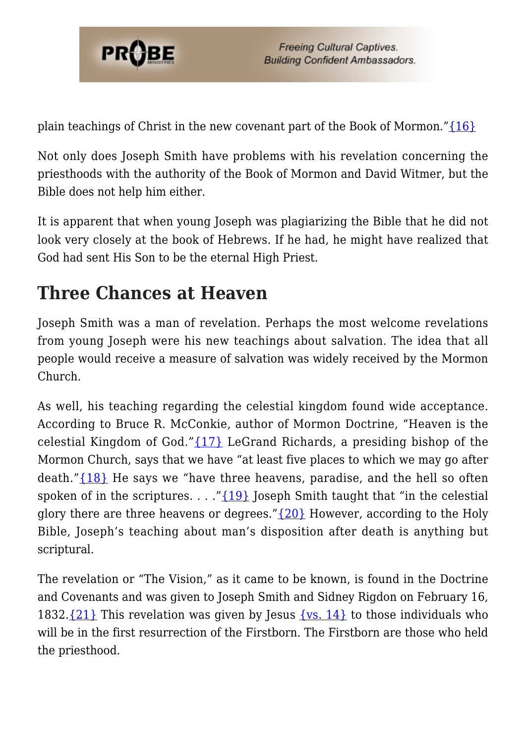

plain teachings of Christ in the new covenant part of the Book of Mormon." $\{16\}$ 

Not only does Joseph Smith have problems with his revelation concerning the priesthoods with the authority of the Book of Mormon and David Witmer, but the Bible does not help him either.

It is apparent that when young Joseph was plagiarizing the Bible that he did not look very closely at the book of Hebrews. If he had, he might have realized that God had sent His Son to be the eternal High Priest.

## **Three Chances at Heaven**

Joseph Smith was a man of revelation. Perhaps the most welcome revelations from young Joseph were his new teachings about salvation. The idea that all people would receive a measure of salvation was widely received by the Mormon Church.

As well, his teaching regarding the celestial kingdom found wide acceptance. According to Bruce R. McConkie, author of Mormon Doctrine, "Heaven is the celestial Kingdom of God."[{17}](#page-11-6) LeGrand Richards, a presiding bishop of the Mormon Church, says that we have "at least five places to which we may go after death." $\{18\}$  He says we "have three heavens, paradise, and the hell so often spoken of in the scriptures.  $\dots$  "[{19}](#page-11-8) Joseph Smith taught that "in the celestial" glory there are three heavens or degrees." ${20}$  However, according to the Holy Bible, Joseph's teaching about man's disposition after death is anything but scriptural.

The revelation or "The Vision," as it came to be known, is found in the Doctrine and Covenants and was given to Joseph Smith and Sidney Rigdon on February 16, 1832. $\{21\}$  This revelation was given by Jesus  $\{vs. 14\}$  to those individuals who will be in the first resurrection of the Firstborn. The Firstborn are those who held the priesthood.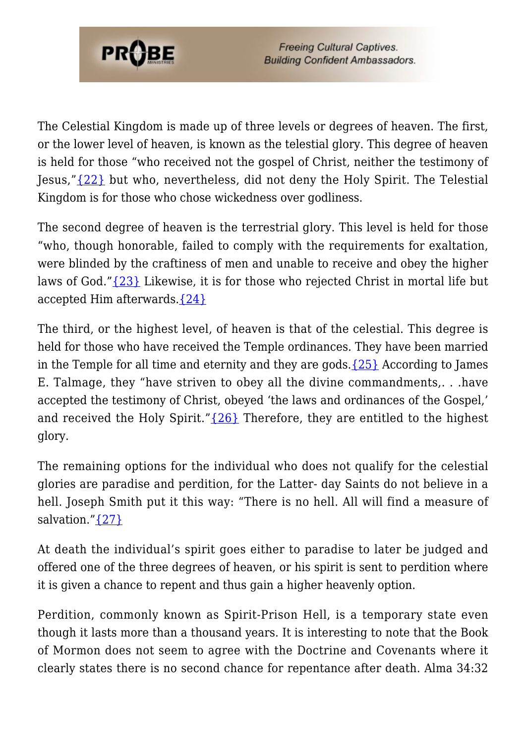

**Freeing Cultural Captives. Building Confident Ambassadors.** 

The Celestial Kingdom is made up of three levels or degrees of heaven. The first, or the lower level of heaven, is known as the telestial glory. This degree of heaven is held for those "who received not the gospel of Christ, neither the testimony of Jesus,"[{22}](#page-11-11) but who, nevertheless, did not deny the Holy Spirit. The Telestial Kingdom is for those who chose wickedness over godliness.

The second degree of heaven is the terrestrial glory. This level is held for those "who, though honorable, failed to comply with the requirements for exaltation, were blinded by the craftiness of men and unable to receive and obey the higher laws of God.["{23}](#page-11-12) Likewise, it is for those who rejected Christ in mortal life but accepted Him afterwards.[{24}](#page-11-13)

The third, or the highest level, of heaven is that of the celestial. This degree is held for those who have received the Temple ordinances. They have been married in the Temple for all time and eternity and they are gods.  $\{25\}$  According to James E. Talmage, they "have striven to obey all the divine commandments,. . .have accepted the testimony of Christ, obeyed 'the laws and ordinances of the Gospel,' and received the Holy Spirit." $\{26\}$  Therefore, they are entitled to the highest glory.

The remaining options for the individual who does not qualify for the celestial glories are paradise and perdition, for the Latter- day Saints do not believe in a hell. Joseph Smith put it this way: "There is no hell. All will find a measure of salvation."[{27}](#page-11-16)

At death the individual's spirit goes either to paradise to later be judged and offered one of the three degrees of heaven, or his spirit is sent to perdition where it is given a chance to repent and thus gain a higher heavenly option.

Perdition, commonly known as Spirit-Prison Hell, is a temporary state even though it lasts more than a thousand years. It is interesting to note that the Book of Mormon does not seem to agree with the Doctrine and Covenants where it clearly states there is no second chance for repentance after death. Alma 34:32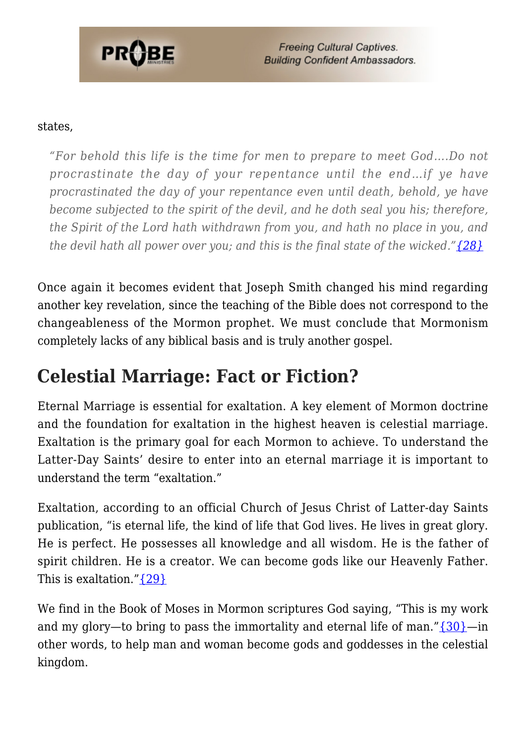

**Freeing Cultural Captives. Building Confident Ambassadors.** 

#### states,

*"For behold this life is the time for men to prepare to meet God….Do not procrastinate the day of your repentance until the end…if ye have procrastinated the day of your repentance even until death, behold, ye have become subjected to the spirit of the devil, and he doth seal you his; therefore, the Spirit of the Lord hath withdrawn from you, and hath no place in you, and the devil hath all power over you; and this is the final state of the wicked.["{28}](#page-11-17)*

Once again it becomes evident that Joseph Smith changed his mind regarding another key revelation, since the teaching of the Bible does not correspond to the changeableness of the Mormon prophet. We must conclude that Mormonism completely lacks of any biblical basis and is truly another gospel.

#### **Celestial Marriage: Fact or Fiction?**

Eternal Marriage is essential for exaltation. A key element of Mormon doctrine and the foundation for exaltation in the highest heaven is celestial marriage. Exaltation is the primary goal for each Mormon to achieve. To understand the Latter-Day Saints' desire to enter into an eternal marriage it is important to understand the term "exaltation."

Exaltation, according to an official Church of Jesus Christ of Latter-day Saints publication, "is eternal life, the kind of life that God lives. He lives in great glory. He is perfect. He possesses all knowledge and all wisdom. He is the father of spirit children. He is a creator. We can become gods like our Heavenly Father. This is exaltation."[{29}](#page-11-18)

We find in the Book of Moses in Mormon scriptures God saying, "This is my work and my glory—to bring to pass the immortality and eternal life of man." $\{30\}$ —in other words, to help man and woman become gods and goddesses in the celestial kingdom.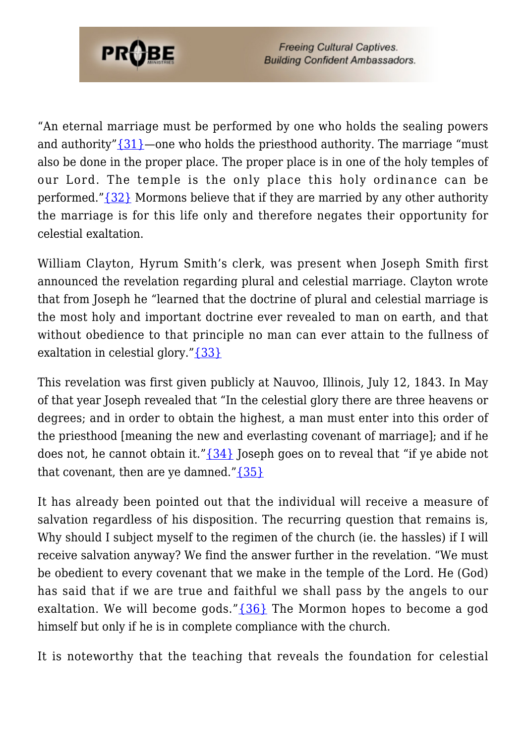

"An eternal marriage must be performed by one who holds the sealing powers and authority" $\{31\}$ —one who holds the priesthood authority. The marriage "must" also be done in the proper place. The proper place is in one of the holy temples of our Lord. The temple is the only place this holy ordinance can be performed."[{32}](#page-12-1) Mormons believe that if they are married by any other authority the marriage is for this life only and therefore negates their opportunity for celestial exaltation.

William Clayton, Hyrum Smith's clerk, was present when Joseph Smith first announced the revelation regarding plural and celestial marriage. Clayton wrote that from Joseph he "learned that the doctrine of plural and celestial marriage is the most holy and important doctrine ever revealed to man on earth, and that without obedience to that principle no man can ever attain to the fullness of exaltation in celestial glory."[{33}](#page-12-2)

This revelation was first given publicly at Nauvoo, Illinois, July 12, 1843. In May of that year Joseph revealed that "In the celestial glory there are three heavens or degrees; and in order to obtain the highest, a man must enter into this order of the priesthood [meaning the new and everlasting covenant of marriage]; and if he does not, he cannot obtain it." $\{34\}$  Joseph goes on to reveal that "if ye abide not that covenant, then are ye damned." $\{35\}$ 

It has already been pointed out that the individual will receive a measure of salvation regardless of his disposition. The recurring question that remains is, Why should I subject myself to the regimen of the church (ie. the hassles) if I will receive salvation anyway? We find the answer further in the revelation. "We must be obedient to every covenant that we make in the temple of the Lord. He (God) has said that if we are true and faithful we shall pass by the angels to our exaltation. We will become gods." $\{36\}$  The Mormon hopes to become a god himself but only if he is in complete compliance with the church.

It is noteworthy that the teaching that reveals the foundation for celestial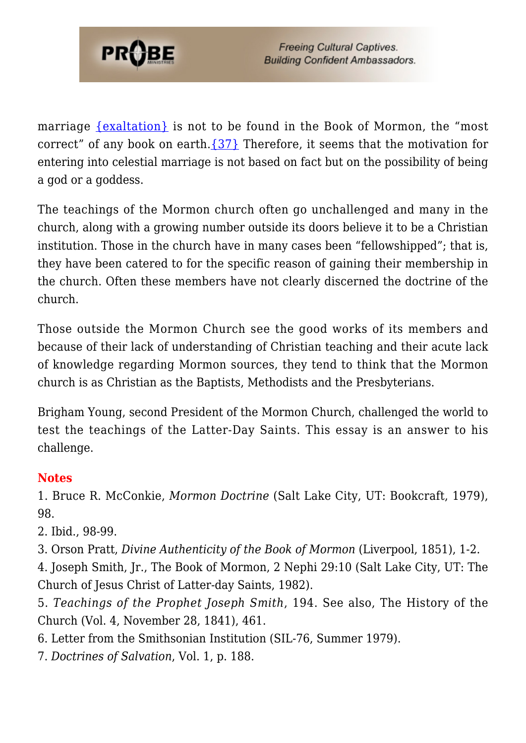

marriage [{exaltation}](#page-10-0) is not to be found in the Book of Mormon, the "most correct" of any book on earth. $\{37\}$  Therefore, it seems that the motivation for entering into celestial marriage is not based on fact but on the possibility of being a god or a goddess.

The teachings of the Mormon church often go unchallenged and many in the church, along with a growing number outside its doors believe it to be a Christian institution. Those in the church have in many cases been "fellowshipped"; that is, they have been catered to for the specific reason of gaining their membership in the church. Often these members have not clearly discerned the doctrine of the church.

Those outside the Mormon Church see the good works of its members and because of their lack of understanding of Christian teaching and their acute lack of knowledge regarding Mormon sources, they tend to think that the Mormon church is as Christian as the Baptists, Methodists and the Presbyterians.

Brigham Young, second President of the Mormon Church, challenged the world to test the teachings of the Latter-Day Saints. This essay is an answer to his challenge.

#### **Notes**

<span id="page-10-0"></span>1. Bruce R. McConkie, *Mormon Doctrine* (Salt Lake City, UT: Bookcraft, 1979), 98.

<span id="page-10-1"></span>2. Ibid., 98-99.

<span id="page-10-2"></span>3. Orson Pratt, *Divine Authenticity of the Book of Mormon* (Liverpool, 1851), 1-2.

<span id="page-10-3"></span>4. Joseph Smith, Jr., The Book of Mormon, 2 Nephi 29:10 (Salt Lake City, UT: The Church of Jesus Christ of Latter-day Saints, 1982).

<span id="page-10-4"></span>5. *Teachings of the Prophet Joseph Smith*, 194. See also, The History of the Church (Vol. 4, November 28, 1841), 461.

- <span id="page-10-5"></span>6. Letter from the Smithsonian Institution (SIL-76, Summer 1979).
- <span id="page-10-7"></span><span id="page-10-6"></span>7. *Doctrines of Salvation*, Vol. 1, p. 188.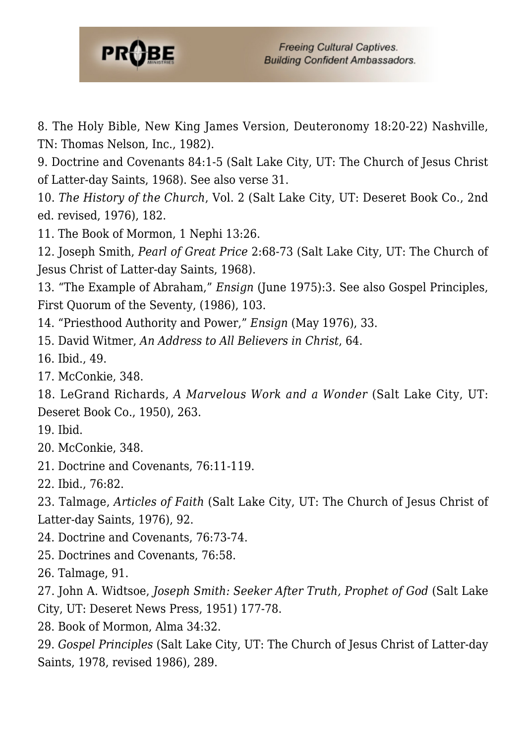

8. The Holy Bible, New King James Version, Deuteronomy 18:20-22) Nashville, TN: Thomas Nelson, Inc., 1982).

<span id="page-11-0"></span>9. Doctrine and Covenants 84:1-5 (Salt Lake City, UT: The Church of Jesus Christ of Latter-day Saints, 1968). See also verse 31.

<span id="page-11-1"></span>10. *The History of the Church*, Vol. 2 (Salt Lake City, UT: Deseret Book Co., 2nd ed. revised, 1976), 182.

<span id="page-11-2"></span>11. The Book of Mormon, 1 Nephi 13:26.

12. Joseph Smith, *Pearl of Great Price* 2:68-73 (Salt Lake City, UT: The Church of Jesus Christ of Latter-day Saints, 1968).

<span id="page-11-3"></span>13. "The Example of Abraham," *Ensign* (June 1975):3. See also Gospel Principles, First Quorum of the Seventy, (1986), 103.

- <span id="page-11-4"></span>14. "Priesthood Authority and Power," *Ensign* (May 1976), 33.
- 15. David Witmer, *An Address to All Believers in Christ*, 64.
- <span id="page-11-5"></span>16. Ibid., 49.
- <span id="page-11-6"></span>17. McConkie, 348.

<span id="page-11-7"></span>18. LeGrand Richards, *A Marvelous Work and a Wonder* (Salt Lake City, UT: Deseret Book Co., 1950), 263.

- <span id="page-11-8"></span>19. Ibid.
- <span id="page-11-9"></span>20. McConkie, 348.
- <span id="page-11-10"></span>21. Doctrine and Covenants, 76:11-119.
- <span id="page-11-11"></span>22. Ibid., 76:82.

<span id="page-11-12"></span>23. Talmage, *Articles of Faith* (Salt Lake City, UT: The Church of Jesus Christ of Latter-day Saints, 1976), 92.

- <span id="page-11-13"></span>24. Doctrine and Covenants, 76:73-74.
- <span id="page-11-14"></span>25. Doctrines and Covenants, 76:58.

<span id="page-11-15"></span>26. Talmage, 91.

<span id="page-11-16"></span>27. John A. Widtsoe, *Joseph Smith: Seeker After Truth, Prophet of God* (Salt Lake City, UT: Deseret News Press, 1951) 177-78.

<span id="page-11-17"></span>28. Book of Mormon, Alma 34:32.

<span id="page-11-19"></span><span id="page-11-18"></span>29. *Gospel Principles* (Salt Lake City, UT: The Church of Jesus Christ of Latter-day Saints, 1978, revised 1986), 289.